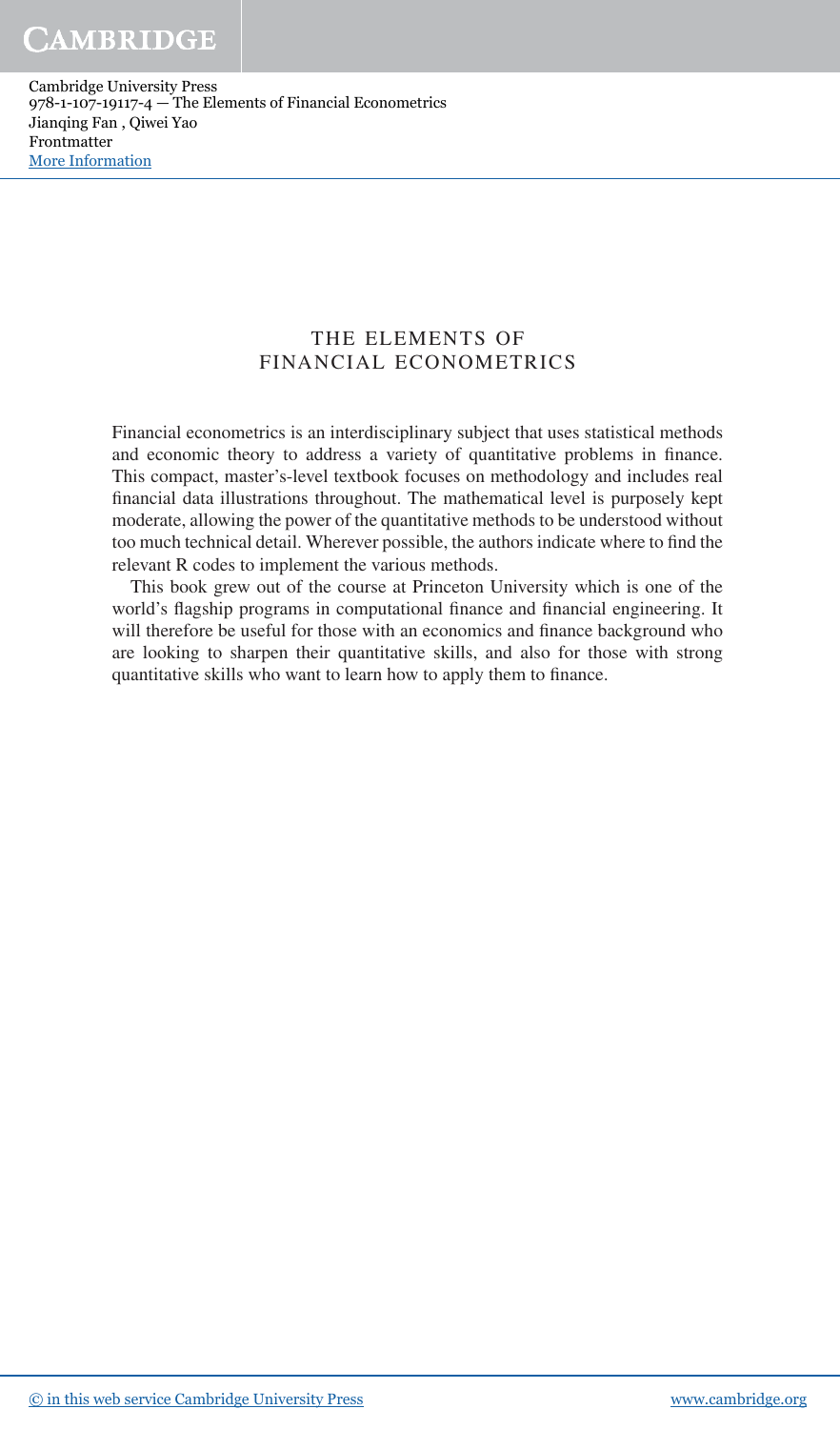Cambridge University Press 978-1-107-19117-4 — The Elements of Financial Econometrics Jianqing Fan , Qiwei Yao Frontmatter [More Information](www.cambridge.org/9781107191174)

## THE ELEMENTS OF FINANCIAL ECONOMETRICS

Financial econometrics is an interdisciplinary subject that uses statistical methods and economic theory to address a variety of quantitative problems in finance. This compact, master's-level textbook focuses on methodology and includes real financial data illustrations throughout. The mathematical level is purposely kept moderate, allowing the power of the quantitative methods to be understood without too much technical detail. Wherever possible, the authors indicate where to find the relevant R codes to implement the various methods.

This book grew out of the course at Princeton University which is one of the world's flagship programs in computational finance and financial engineering. It will therefore be useful for those with an economics and finance background who are looking to sharpen their quantitative skills, and also for those with strong quantitative skills who want to learn how to apply them to finance.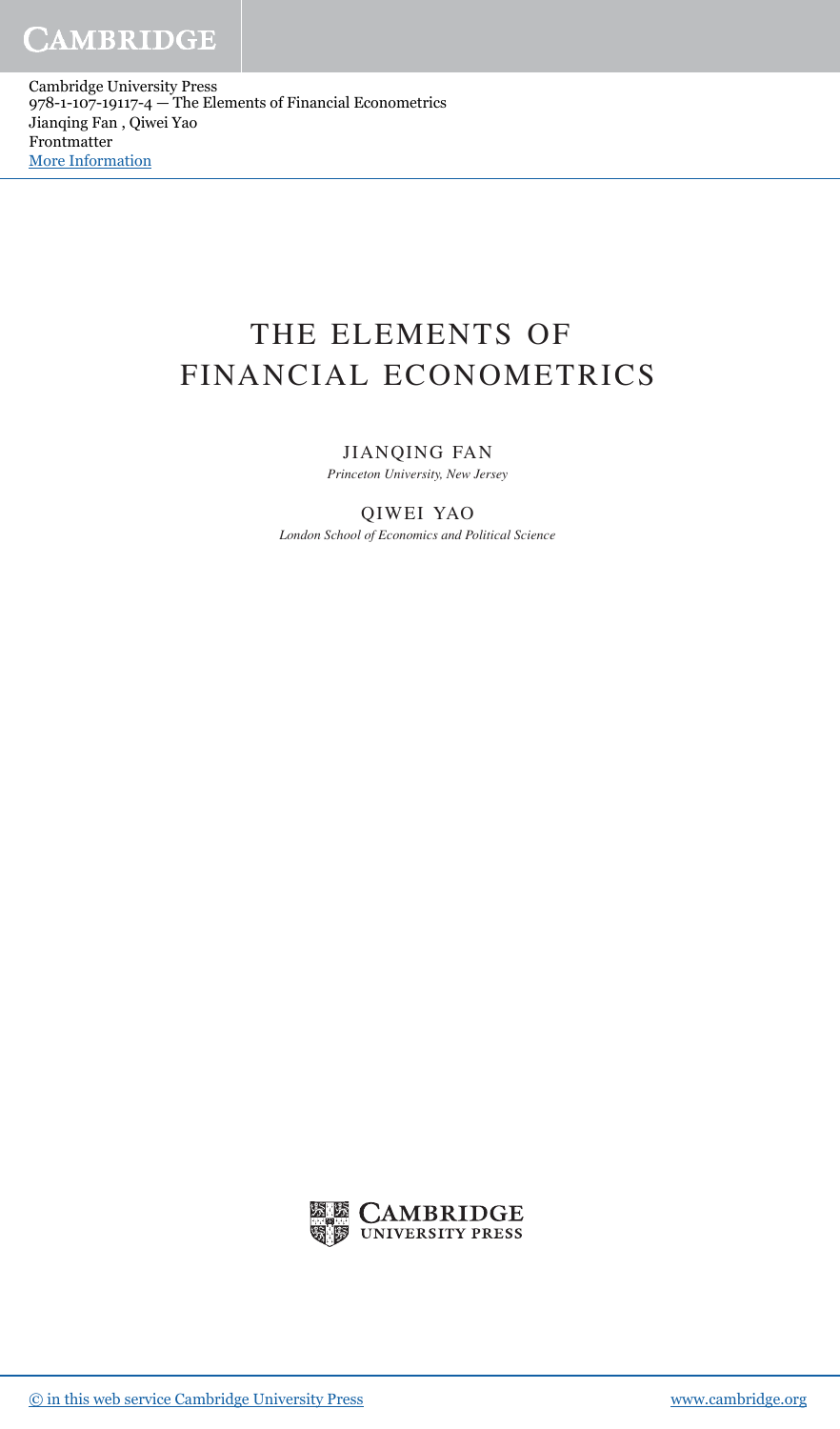Cambridge University Press 978-1-107-19117-4 — The Elements of Financial Econometrics Jianqing Fan , Qiwei Yao Frontmatter [More Information](www.cambridge.org/9781107191174)

# THE ELEMENTS OF FINANCIAL ECONOMETRICS

## JIANQING FAN

*Princeton University, New Jersey*

## QIWEI YAO

*London School of Economics and Political Science*

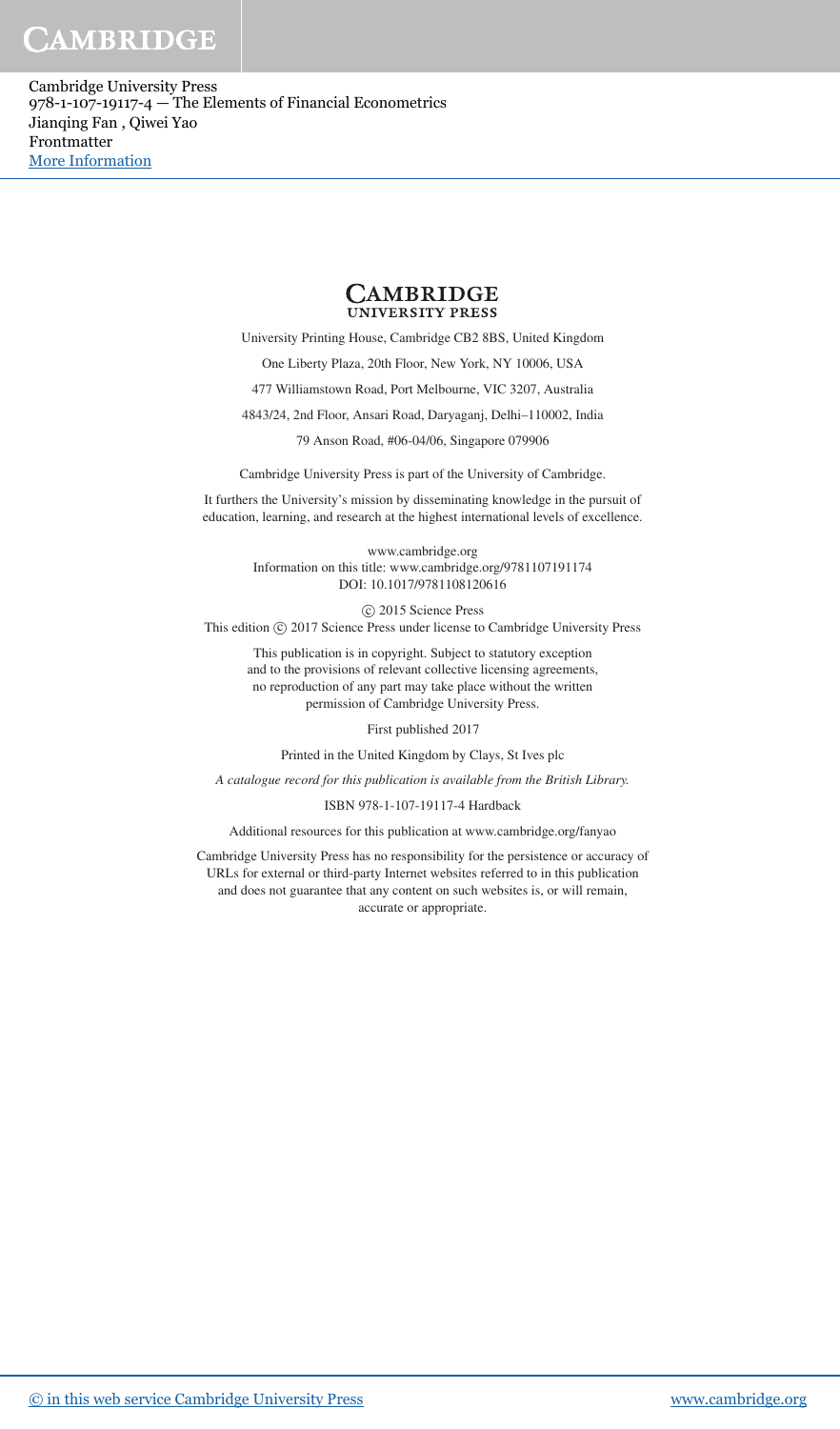Cambridge University Press 978-1-107-19117-4 — The Elements of Financial Econometrics Jianqing Fan , Qiwei Yao Frontmatter [More Information](www.cambridge.org/9781107191174)



University Printing House, Cambridge CB2 8BS, United Kingdom One Liberty Plaza, 20th Floor, New York, NY 10006, USA 477 Williamstown Road, Port Melbourne, VIC 3207, Australia 4843/24, 2nd Floor, Ansari Road, Daryaganj, Delhi–110002, India

79 Anson Road, #06-04/06, Singapore 079906

Cambridge University Press is part of the University of Cambridge.

It furthers the University's mission by disseminating knowledge in the pursuit of education, learning, and research at the highest international levels of excellence.

> www.cambridge.org Information on this title: www.cambridge.org/9781107191174 DOI: 10.1017/9781108120616

© 2015 Science Press This edition  $\odot$  2017 Science Press under license to Cambridge University Press

This publication is in copyright. Subject to statutory exception and to the provisions of relevant collective licensing agreements, no reproduction of any part may take place without the written permission of Cambridge University Press.

First published 2017

Printed in the United Kingdom by Clays, St Ives plc

A catalogue record for this publication is available from the British Library.

#### ISBN 978-1-107-19117-4 Hardback

Additional resources for this publication at www.cambridge.org/fanyao

Cambridge University Press has no responsibility for the persistence or accuracy of URLs for external or third-party Internet websites referred to in this publication and does not guarantee that any content on such websites is, or will remain, accurate or appropriate.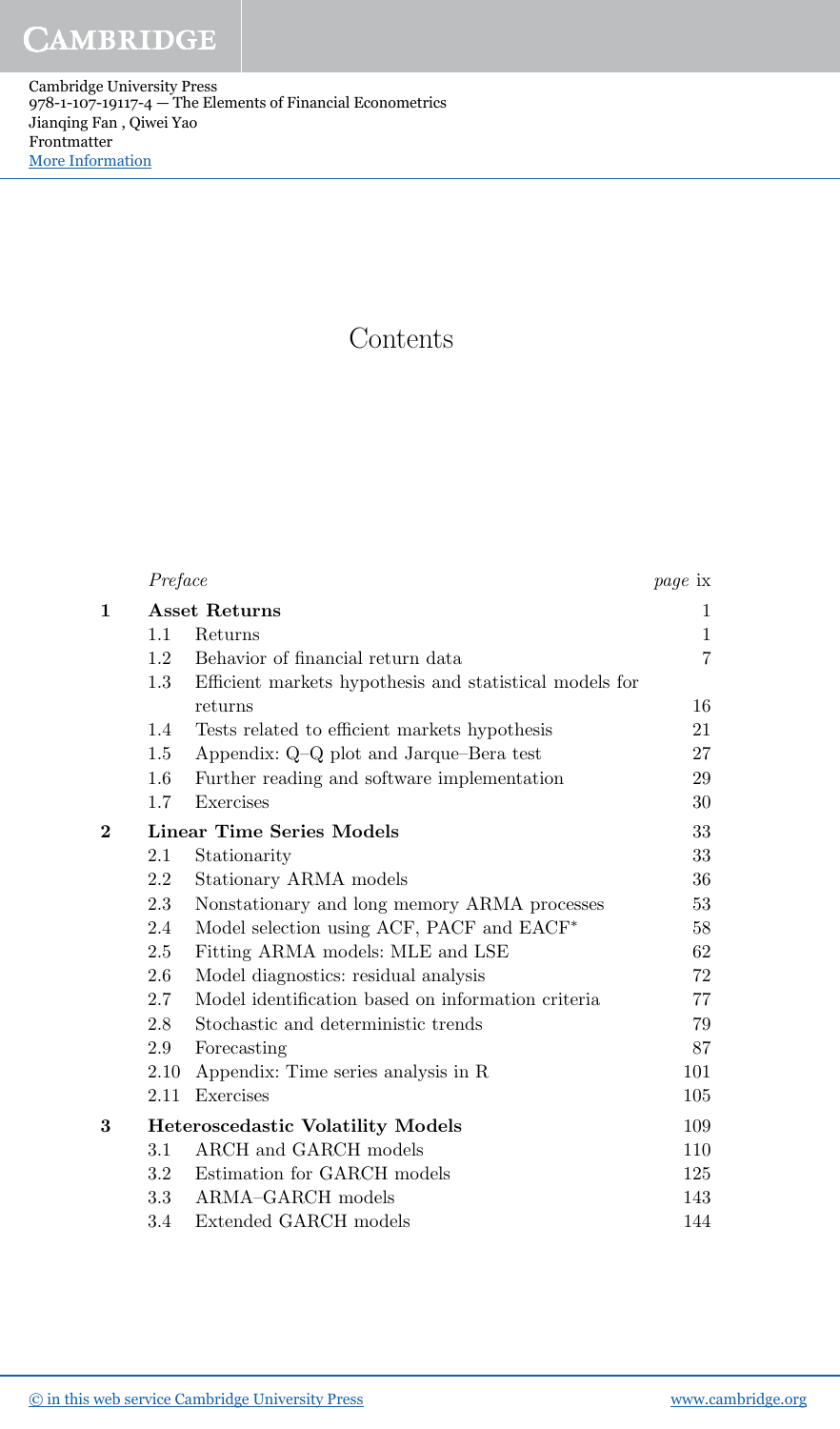Cambridge University Press 978-1-107-19117-4 — The Elements of Financial Econometrics Jianqing Fan , Qiwei Yao Frontmatter [More Information](www.cambridge.org/9781107191174)

## **Contents**

|                | Preface              |                                                         | <i>page</i> ix |
|----------------|----------------------|---------------------------------------------------------|----------------|
| 1              | <b>Asset Returns</b> |                                                         | 1              |
|                | 1.1                  | Returns                                                 | $\mathbf{1}$   |
|                | 1.2                  | Behavior of financial return data                       | $\overline{7}$ |
|                | $1.3\,$              | Efficient markets hypothesis and statistical models for |                |
|                |                      | returns                                                 | 16             |
|                | 1.4                  | Tests related to efficient markets hypothesis           | 21             |
|                | 1.5                  | Appendix: Q-Q plot and Jarque-Bera test                 | 27             |
|                | 1.6                  | Further reading and software implementation             | 29             |
|                | 1.7                  | Exercises                                               | 30             |
| $\overline{2}$ |                      | <b>Linear Time Series Models</b>                        | 33             |
|                | 2.1                  | Stationarity                                            | 33             |
|                | 2.2                  | Stationary ARMA models                                  | 36             |
|                | 2.3                  | Nonstationary and long memory ARMA processes            | 53             |
|                | 2.4                  | Model selection using ACF, PACF and EACF*               | 58             |
|                | 2.5                  | Fitting ARMA models: MLE and LSE                        | 62             |
|                | 2.6                  | Model diagnostics: residual analysis                    | 72             |
|                | 2.7                  | Model identification based on information criteria      | 77             |
|                | 2.8                  | Stochastic and deterministic trends                     | 79             |
|                | 2.9                  | Forecasting                                             | 87             |
|                | 2.10                 | Appendix: Time series analysis in R                     | 101            |
|                | 2.11                 | Exercises                                               | 105            |
| 3              |                      | <b>Heteroscedastic Volatility Models</b>                | 109            |
|                | $3.1\,$              | ARCH and GARCH models                                   | 110            |
|                | 3.2                  | Estimation for GARCH models                             | 125            |
|                | 3.3                  | ARMA-GARCH models                                       | 143            |
|                | 3.4                  | Extended GARCH models                                   | 144            |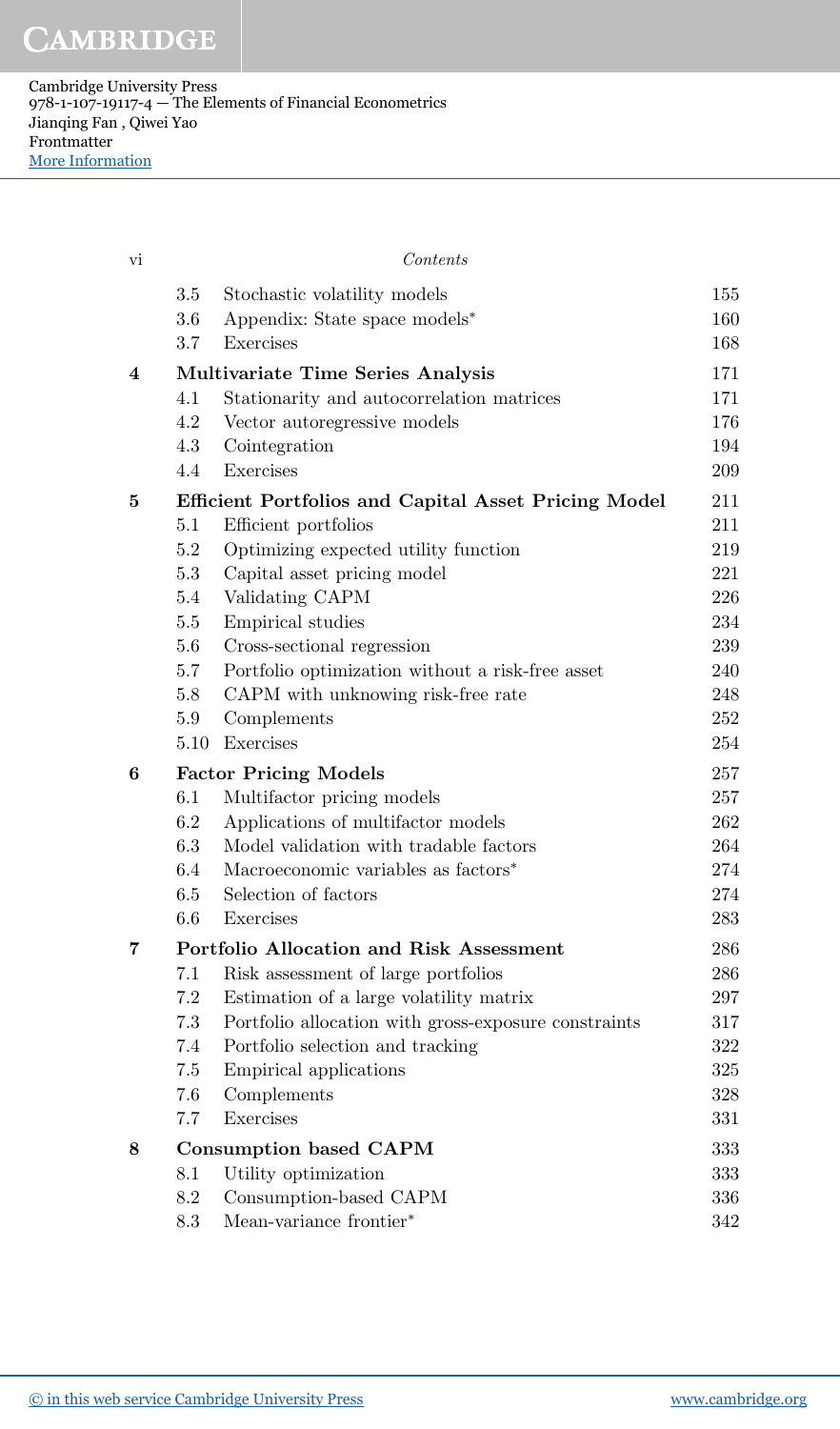Cambridge University Press 978-1-107-19117-4 — The Elements of Financial Econometrics Jianqing Fan , Qiwei Yao Frontmatter [More Information](www.cambridge.org/9781107191174)

| vi                      |            | Contents                                                                               |            |
|-------------------------|------------|----------------------------------------------------------------------------------------|------------|
|                         | 3.5        | Stochastic volatility models                                                           | 155        |
|                         | 3.6        | Appendix: State space models*                                                          | 160        |
|                         | 3.7        | Exercises                                                                              | 168        |
| $\overline{\mathbf{4}}$ |            | <b>Multivariate Time Series Analysis</b>                                               | 171        |
|                         | 4.1        | Stationarity and autocorrelation matrices                                              | 171        |
|                         | 4.2        | Vector autoregressive models                                                           | 176        |
|                         | 4.3        | Cointegration                                                                          | 194        |
|                         | 4.4        | Exercises                                                                              | 209        |
| $\bf{5}$                |            | <b>Efficient Portfolios and Capital Asset Pricing Model</b>                            | 211        |
|                         | 5.1        | Efficient portfolios                                                                   | 211        |
|                         | $5.2\,$    | Optimizing expected utility function                                                   | 219        |
|                         | 5.3        | Capital asset pricing model                                                            | 221        |
|                         | 5.4        | Validating CAPM                                                                        | 226        |
|                         | 5.5        | Empirical studies                                                                      | 234        |
|                         | 5.6        | Cross-sectional regression                                                             | 239<br>240 |
|                         | 5.7<br>5.8 | Portfolio optimization without a risk-free asset<br>CAPM with unknowing risk-free rate | 248        |
|                         | 5.9        | Complements                                                                            | 252        |
|                         | 5.10       | Exercises                                                                              | 254        |
| 6                       |            | <b>Factor Pricing Models</b>                                                           | 257        |
|                         | 6.1        | Multifactor pricing models                                                             | 257        |
|                         | 6.2        | Applications of multifactor models                                                     | 262        |
|                         | 6.3        | Model validation with tradable factors                                                 | 264        |
|                         | 6.4        | Macroeconomic variables as factors <sup>*</sup>                                        | 274        |
|                         | 6.5        | Selection of factors                                                                   | 274        |
|                         | 6.6        | Exercises                                                                              | 283        |
| 7                       |            | Portfolio Allocation and Risk Assessment                                               | 286        |
|                         | $7.1\,$    | Risk assessment of large portfolios                                                    | 286        |
|                         | 7.2        | Estimation of a large volatility matrix                                                | 297        |
|                         | 7.3        | Portfolio allocation with gross-exposure constraints                                   | 317        |
|                         | 7.4        | Portfolio selection and tracking                                                       | 322        |
|                         | 7.5        | Empirical applications                                                                 | 325        |
|                         | 7.6        | Complements                                                                            | 328        |
|                         | 7.7        | Exercises                                                                              | 331        |
| 8                       |            | <b>Consumption based CAPM</b>                                                          | 333        |
|                         | 8.1        | Utility optimization                                                                   | 333        |
|                         | 8.2        | Consumption-based CAPM                                                                 | 336        |
|                         | 8.3        | Mean-variance frontier*                                                                | 342        |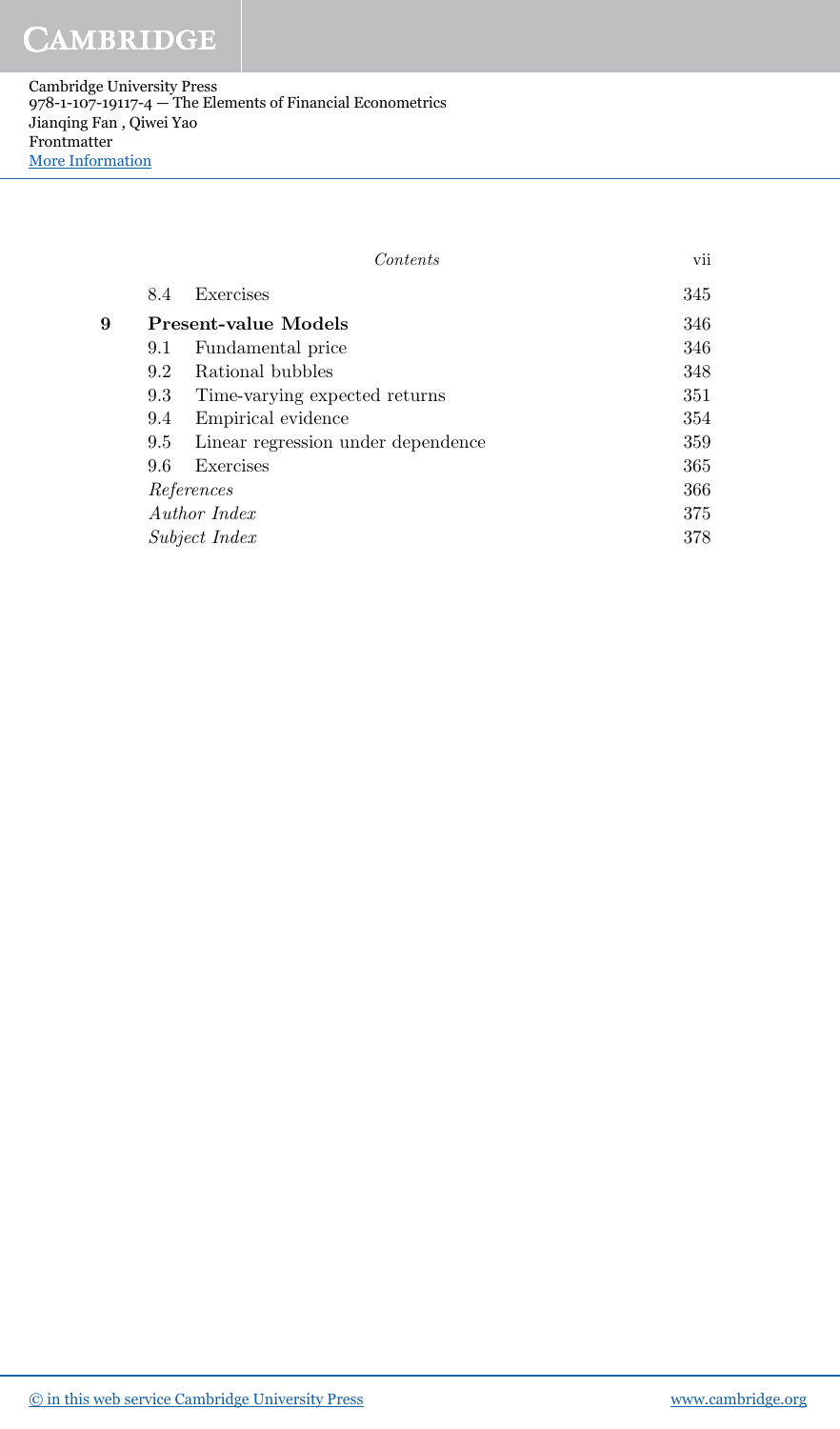Cambridge University Press 978-1-107-19117-4 — The Elements of Financial Econometrics Jianqing Fan , Qiwei Yao Frontmatter [More Information](www.cambridge.org/9781107191174)

|            |     | Contents                           | vii |
|------------|-----|------------------------------------|-----|
|            | 8.4 | Exercises                          | 345 |
| 9          |     | Present-value Models               | 346 |
|            | 9.1 | Fundamental price                  | 346 |
|            | 9.2 | Rational bubbles                   | 348 |
|            | 9.3 | Time-varying expected returns      | 351 |
|            | 9.4 | Empirical evidence                 | 354 |
|            | 9.5 | Linear regression under dependence | 359 |
|            | 9.6 | Exercises                          | 365 |
| References |     |                                    | 366 |
|            |     | Author Index                       | 375 |
|            |     | <i>Subject Index</i>               | 378 |
|            |     |                                    |     |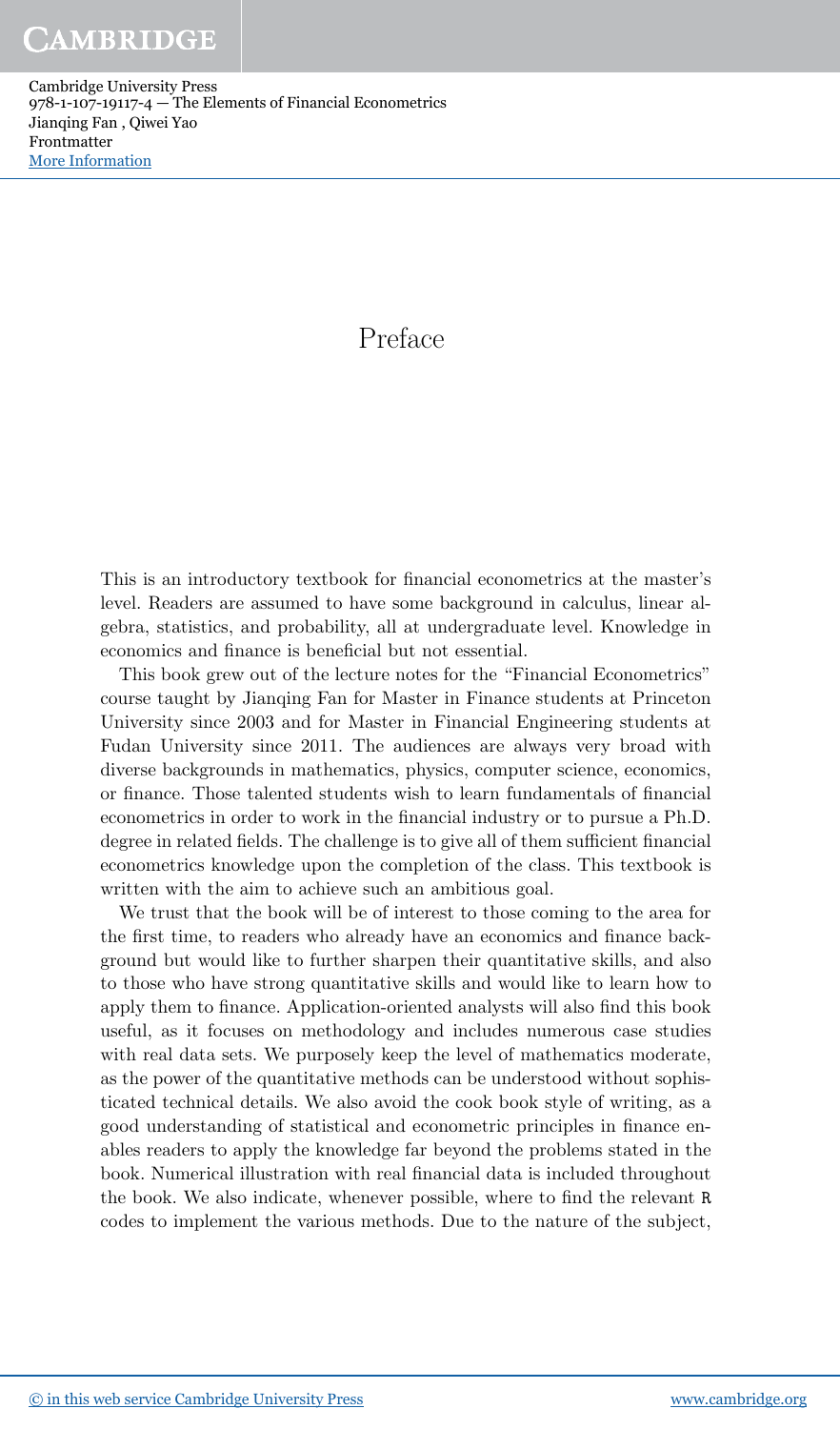Cambridge University Press 978-1-107-19117-4 — The Elements of Financial Econometrics Jianqing Fan , Qiwei Yao Frontmatter [More Information](www.cambridge.org/9781107191174)

## Preface

This is an introductory textbook for financial econometrics at the master's level. Readers are assumed to have some background in calculus, linear algebra, statistics, and probability, all at undergraduate level. Knowledge in economics and finance is beneficial but not essential.

This book grew out of the lecture notes for the "Financial Econometrics" course taught by Jianqing Fan for Master in Finance students at Princeton University since 2003 and for Master in Financial Engineering students at Fudan University since 2011. The audiences are always very broad with diverse backgrounds in mathematics, physics, computer science, economics, or finance. Those talented students wish to learn fundamentals of financial econometrics in order to work in the financial industry or to pursue a Ph.D. degree in related fields. The challenge is to give all of them sufficient financial econometrics knowledge upon the completion of the class. This textbook is written with the aim to achieve such an ambitious goal.

We trust that the book will be of interest to those coming to the area for the first time, to readers who already have an economics and finance background but would like to further sharpen their quantitative skills, and also to those who have strong quantitative skills and would like to learn how to apply them to finance. Application-oriented analysts will also find this book useful, as it focuses on methodology and includes numerous case studies with real data sets. We purposely keep the level of mathematics moderate, as the power of the quantitative methods can be understood without sophisticated technical details. We also avoid the cook book style of writing, as a good understanding of statistical and econometric principles in finance enables readers to apply the knowledge far beyond the problems stated in the book. Numerical illustration with real financial data is included throughout the book. We also indicate, whenever possible, where to find the relevant R codes to implement the various methods. Due to the nature of the subject,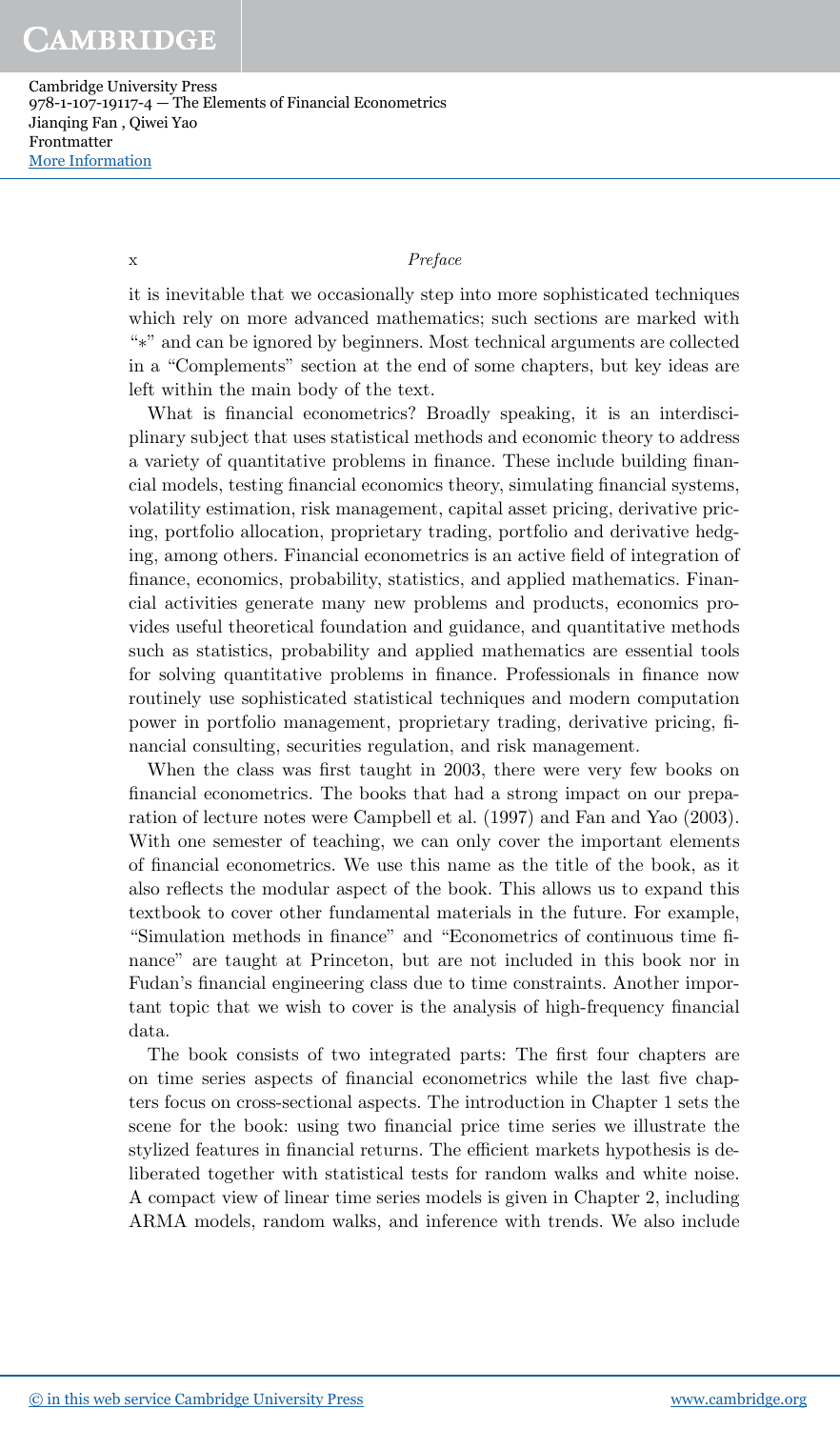Cambridge University Press 978-1-107-19117-4 — The Elements of Financial Econometrics Jianqing Fan , Qiwei Yao Frontmatter [More Information](www.cambridge.org/9781107191174)

## x Preface

it is inevitable that we occasionally step into more sophisticated techniques which rely on more advanced mathematics; such sections are marked with "∗" and can be ignored by beginners. Most technical arguments are collected in a "Complements" section at the end of some chapters, but key ideas are left within the main body of the text.

What is financial econometrics? Broadly speaking, it is an interdisciplinary subject that uses statistical methods and economic theory to address a variety of quantitative problems in finance. These include building financial models, testing financial economics theory, simulating financial systems, volatility estimation, risk management, capital asset pricing, derivative pricing, portfolio allocation, proprietary trading, portfolio and derivative hedging, among others. Financial econometrics is an active field of integration of finance, economics, probability, statistics, and applied mathematics. Financial activities generate many new problems and products, economics provides useful theoretical foundation and guidance, and quantitative methods such as statistics, probability and applied mathematics are essential tools for solving quantitative problems in finance. Professionals in finance now routinely use sophisticated statistical techniques and modern computation power in portfolio management, proprietary trading, derivative pricing, financial consulting, securities regulation, and risk management.

When the class was first taught in 2003, there were very few books on financial econometrics. The books that had a strong impact on our preparation of lecture notes were Campbell et al. (1997) and Fan and Yao (2003). With one semester of teaching, we can only cover the important elements of financial econometrics. We use this name as the title of the book, as it also reflects the modular aspect of the book. This allows us to expand this textbook to cover other fundamental materials in the future. For example, "Simulation methods in finance" and "Econometrics of continuous time finance" are taught at Princeton, but are not included in this book nor in Fudan's financial engineering class due to time constraints. Another important topic that we wish to cover is the analysis of high-frequency financial data.

The book consists of two integrated parts: The first four chapters are on time series aspects of financial econometrics while the last five chapters focus on cross-sectional aspects. The introduction in Chapter 1 sets the scene for the book: using two financial price time series we illustrate the stylized features in financial returns. The efficient markets hypothesis is deliberated together with statistical tests for random walks and white noise. A compact view of linear time series models is given in Chapter 2, including ARMA models, random walks, and inference with trends. We also include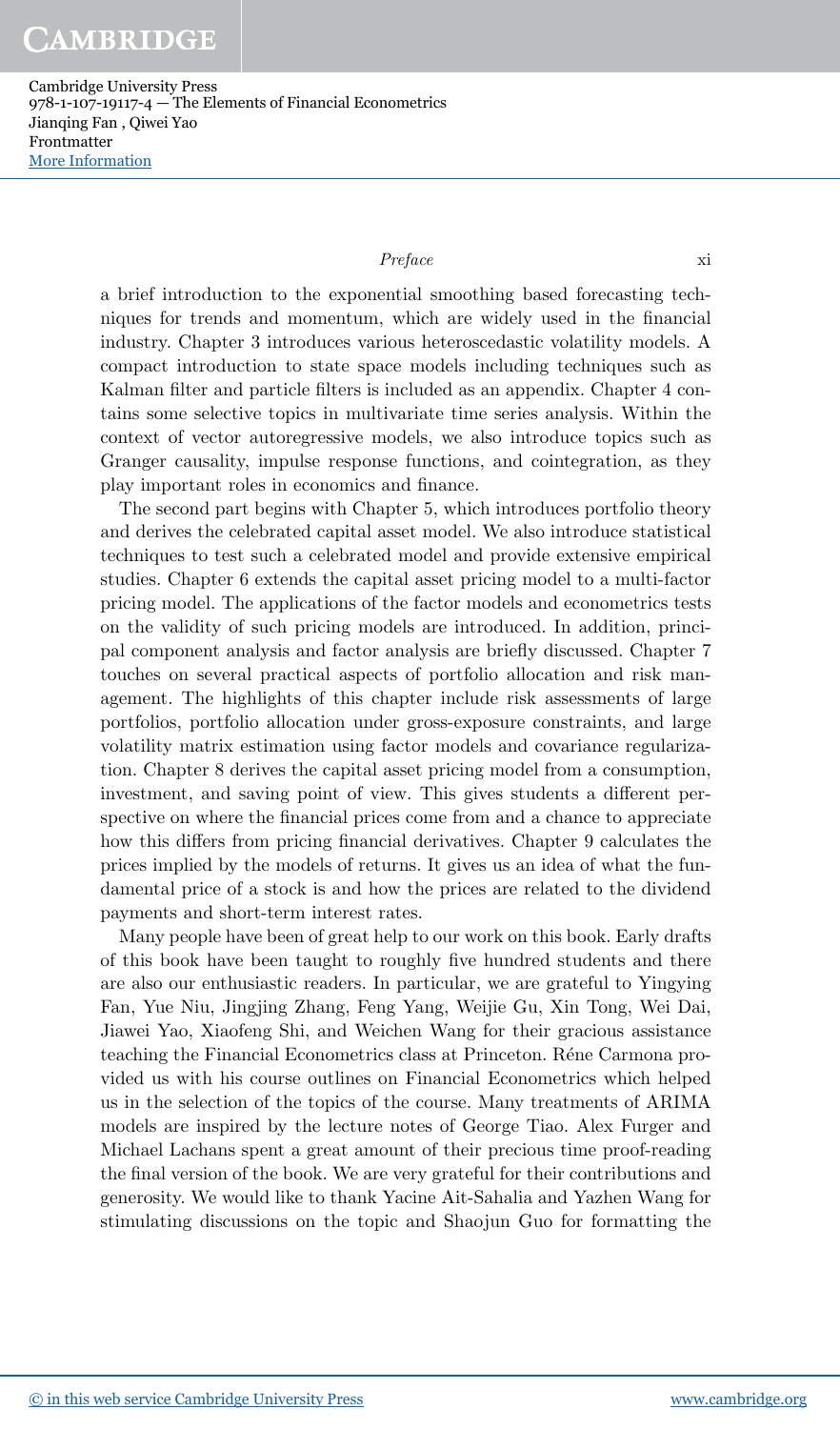Cambridge University Press 978-1-107-19117-4 — The Elements of Financial Econometrics Jianqing Fan , Qiwei Yao Frontmatter [More Information](www.cambridge.org/9781107191174)

## Preface  $x$ i

a brief introduction to the exponential smoothing based forecasting techniques for trends and momentum, which are widely used in the financial industry. Chapter 3 introduces various heteroscedastic volatility models. A compact introduction to state space models including techniques such as Kalman filter and particle filters is included as an appendix. Chapter 4 contains some selective topics in multivariate time series analysis. Within the context of vector autoregressive models, we also introduce topics such as Granger causality, impulse response functions, and cointegration, as they play important roles in economics and finance.

The second part begins with Chapter 5, which introduces portfolio theory and derives the celebrated capital asset model. We also introduce statistical techniques to test such a celebrated model and provide extensive empirical studies. Chapter 6 extends the capital asset pricing model to a multi-factor pricing model. The applications of the factor models and econometrics tests on the validity of such pricing models are introduced. In addition, principal component analysis and factor analysis are briefly discussed. Chapter 7 touches on several practical aspects of portfolio allocation and risk management. The highlights of this chapter include risk assessments of large portfolios, portfolio allocation under gross-exposure constraints, and large volatility matrix estimation using factor models and covariance regularization. Chapter 8 derives the capital asset pricing model from a consumption, investment, and saving point of view. This gives students a different perspective on where the financial prices come from and a chance to appreciate how this differs from pricing financial derivatives. Chapter 9 calculates the prices implied by the models of returns. It gives us an idea of what the fundamental price of a stock is and how the prices are related to the dividend payments and short-term interest rates.

Many people have been of great help to our work on this book. Early drafts of this book have been taught to roughly five hundred students and there are also our enthusiastic readers. In particular, we are grateful to Yingying Fan, Yue Niu, Jingjing Zhang, Feng Yang, Weijie Gu, Xin Tong, Wei Dai, Jiawei Yao, Xiaofeng Shi, and Weichen Wang for their gracious assistance teaching the Financial Econometrics class at Princeton. Réne Carmona provided us with his course outlines on Financial Econometrics which helped us in the selection of the topics of the course. Many treatments of ARIMA models are inspired by the lecture notes of George Tiao. Alex Furger and Michael Lachans spent a great amount of their precious time proof-reading the final version of the book. We are very grateful for their contributions and generosity. We would like to thank Yacine Ait-Sahalia and Yazhen Wang for stimulating discussions on the topic and Shaojun Guo for formatting the